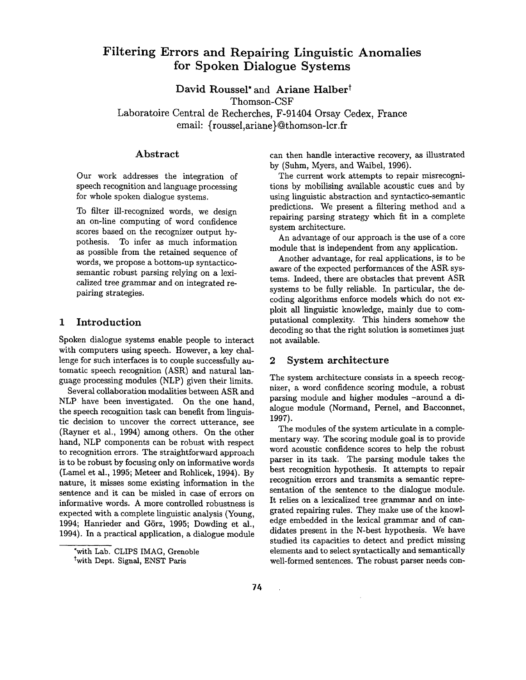# **Filtering Errors and Repairing Linguistic Anomalies for Spoken Dialogue Systems**

David Roussel<sup>\*</sup> and Ariane Halber<sup>†</sup> Thomson-CSF

Laboratoire Central de Recherches, F-91404 Orsay Cedex, France email: {roussel,ariane}@thomson-lcr.fr

### Abstract

Our work addresses the integration of speech recognition and language processing for whole spoken dialogue systems.

To filter ill-recognized words, we design an on-line computing of word confidence scores based on the recognizer output hypothesis. To infer as much information as possible from the retained sequence of words, we propose a bottom-up syntacticosemantic robust parsing relying on a lexicalized tree grammar and on integrated repairing strategies.

### 1 Introduction

Spoken dialogue systems enable people to interact with computers using speech. However, a key challenge for such interfaces is to couple successfully automatic speech recognition (ASR) and natural language processing modules (NLP) given their limits.

Several collaboration modalities between ASR and NLP have been investigated. On the one hand, the speech recognition task can benefit from linguistic decision to uncover the correct utterance, see (Rayner et al., 1994) among others. On the other hand, NLP components can be robust with respect to recognition errors. The straightforward approach is to be robust by focusing only on informative words (Lamel et al., 1995; Meteer and Rohlicek, 1994). By nature, it misses some existing information in the sentence and it can be misled in case of errors on informative words. A more controlled robustness is expected with a complete linguistic analysis (Young, 1994; Hanrieder and Görz, 1995; Dowding et al., 1994). In a practical application, a dialogue module can then handle interactive recovery, as illustrated by (Suhm, Myers, and Waibel, 1996).

The current work attempts to repair misrecognitions by mobilising available acoustic cues and by using linguistic abstraction and syntactico-semantic predictions. We present a filtering method and a repairing parsing strategy which fit in a complete system architecture.

An advantage of our approach is the use of a core module that is independent from any application.

Another advantage, for real applications, is to be aware of the expected performances of the ASR systems. Indeed, there are obstacles that prevent ASR systems to be fully reliable. In particular, the decoding algorithms enforce models which do not exploit all linguistic knowledge, mainly due to computational complexity. This hinders somehow the decoding so that the right solution is sometimes just not available.

### 2 System architecture

The system architecture consists in a speech recognizer, a word confidence scoring module, a robust parsing module and higher modules -around a dialogue module (Normand, Pernel, and Bacconnet, 1997).

The modules of the system articulate in a complementary way. The scoring module goal is to provide word acoustic confidence scores to help the robust parser in its task. The parsing module takes the best recognition hypothesis. It attempts to repair recognition errors and transmits a semantic representation of the sentence to the dialogue module. It relies on a lexicalized tree grammar and on integrated repairing rules. They make use of the knowledge embedded in the lexical grammar and of candidates present in the N-best hypothesis. We have studied its capacities to detect and predict missing elements and to select syntactically and semantically well-formed sentences. The robust parser needs con-

 $\mathbb{R}^2$ 

<sup>\*</sup>with Lab. CLIPS IMAG, Grenoble twith Dept. Signal, ENST Paris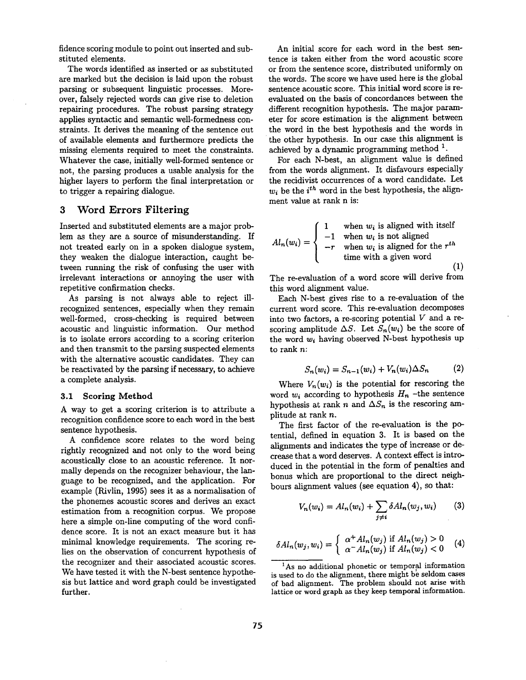fidence scoring module to point out inserted and substituted elements.

The words identified as inserted or as substituted are marked but the decision is laid upon the robust parsing or subsequent linguistic processes. Moreover, falsely rejected words can give rise to deletion repairing procedures. The robust parsing strategy applies syntactic and semantic well-formedness constraints. It derives the meaning of the sentence out of available elements and furthermore predicts the missing elements required to meet the constraints. Whatever the case, initially well-formed sentence or not, the parsing produces a usable analysis for the higher layers to perform the final interpretation or to trigger a repairing dialogue.

# 3 Word Errors Filtering

Inserted and substituted elements are a major problem as they are a source of misunderstanding. If not treated early on in a spoken dialogue system, they weaken the dialogue interaction, caught between running the risk of confusing the user with irrelevant interactions or annoying the user with repetitive confirmation checks.

As parsing is not always able to reject illrecognized sentences, especially when they remain well-formed, cross-checking is required between acoustic and linguistic information. Our method is to isolate errors according to a scoring criterion and then transmit to the parsing suspected elements with the alternative acoustic candidates. They can be reactivated by the parsing if necessary, to achieve a complete analysis.

#### 3.1 Scoring Method

A way to get a scoring criterion is to attribute a recognition confidence score to each word in the best sentence hypothesis.

A confidence score relates to the word being rightly recognized and not only to the word being acoustically close to an acoustic reference. It normally depends on the recognizer behaviour, the language to be recognized, and the application. For example (Rivlin, 1995) sees it as a normalisation of the phonemes acoustic scores and derives an exact estimation from a recognition corpus. We propose here a simple on-line computing of the word confidence score. It is not an exact measure but it has minimal knowledge requirements. The scoring relies on the observation of concurrent hypothesis of the recognizer and their associated acoustic scores. We have tested it with the N-best sentence hypothesis but lattice and word graph could be investigated further.

An initial score for each word in the best sentence is taken either from the word acoustic score or from the sentence score, distributed uniformly on the words. The score we have used here is the global sentence acoustic score. This initial word score is reevaluated on the basis of concordances between the different recognition hypothesis. The major parameter for score estimation is the alignment between the word in the best hypothesis and the words in the other hypothesis. In our case this alignment is achieved by a dynamic programming method  $<sup>1</sup>$ .</sup>

For each N-best, an alignment value is defined from the words alignment. It disfavours especially the recidivist occurrences of a word candidate. Let  $w_i$  be the *i*<sup>th</sup> word in the best hypothesis, the alignment value at rank n is:

$$
Al_n(w_i) = \begin{cases} 1 & \text{when } w_i \text{ is aligned with itself} \\ -1 & \text{when } w_i \text{ is not aligned} \\ -r & \text{when } w_i \text{ is aligned for the } r^{th} \\ \text{time with a given word} \end{cases}
$$
(1)

The re-evaluation of a word score will derive from this word alignment value.

Each N-best gives rise to a re-evaluation of the current word score. This re-evaluation decomposes into two factors, a re-scoring potential  $V$  and a rescoring amplitude  $\Delta S$ . Let  $S_n(w_i)$  be the score of the word  $w_i$  having observed N-best hypothesis up to rank n:

$$
S_n(w_i) = S_{n-1}(w_i) + V_n(w_i) \Delta S_n \tag{2}
$$

Where  $V_n(w_i)$  is the potential for rescoring the word  $w_i$  according to hypothesis  $H_n$  -the sentence hypothesis at rank n and  $\Delta S_n$  is the rescoring amplitude at rank n.

The first factor of the re-evaluation is the potential, defined in equation 3. It is based on the alignments and indicates the type of increase or decrease that a word deserves. A context effect is introduced in the potential in the form of penalties and bonus which are proportional to the direct neighbouts alignment values (see equation 4), so that:

$$
V_n(w_i) = Al_n(w_i) + \sum_{j \neq i} \delta Al_n(w_j, w_i) \qquad (3)
$$

$$
\delta Al_n(w_j, w_i) = \begin{cases} \alpha^+ Al_n(w_j) & \text{if } Al_n(w_j) > 0\\ \alpha^- Al_n(w_j) & \text{if } Al_n(w_j) < 0 \end{cases}
$$
(4)

<sup>1</sup>As no additional phonetic or temporal information is used to do the alignment, there might be seldom cases of bad alignment. The problem should not arise with lattice or word graph as they keep temporal information.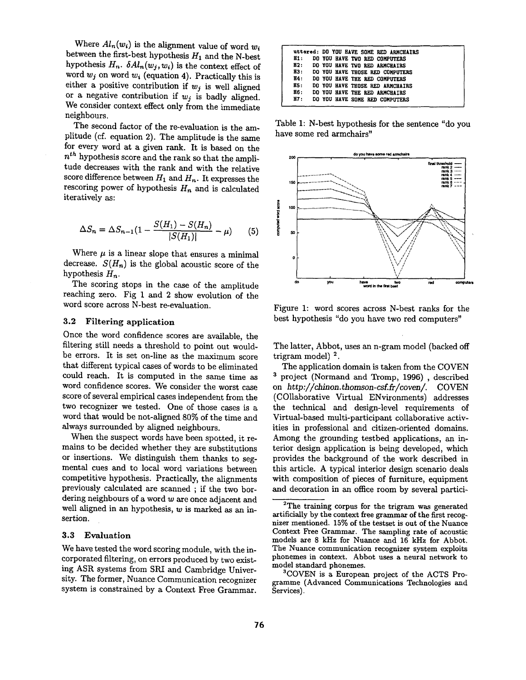Where  $Al_n(w_i)$  is the alignment value of word  $w_i$ between the first-best hypothesis  $H_1$  and the N-best hypothesis  $H_n$ .  $\delta A l_n(w_j, w_i)$  is the context effect of word  $w_j$  on word  $w_i$  (equation 4). Practically this is either a positive contribution if  $w_j$  is well aligned or a negative contribution if  $w_j$  is badly aligned. We consider context effect only from the immediate neighbours.

The second factor of the re-evaluation is the amplitude (cf. equation 2). The amplitude is the same for every word at a given rank. It is based on the *n th* hypothesis score and the rank so that the amplitude decreases with the rank and with the relative score difference between  $H_1$  and  $H_n$ . It expresses the rescoring power of hypothesis  $H_n$  and is calculated iteratively as:

$$
\Delta S_n = \Delta S_{n-1} (1 - \frac{S(H_1) - S(H_n)}{|S(H_1)|} - \mu) \tag{5}
$$

Where  $\mu$  is a linear slope that ensures a minimal decrease.  $S(H_n)$  is the global acoustic score of the hypothesis  $H_n$ .

The scoring stops in the case of the amplitude reaching zero. Fig 1 and 2 show evolution of the word score across N-best re-evaluation.

#### 3.2 Filtering application

Once the word confidence scores are available, the filtering still needs a threshold to point out wouldbe errors. It is set on-line as the maximum score that different typical cases of words to be eliminated could reach. It is computed in the same time as word confidence scores. We consider the worst case score of several empirical cases independent from the two recognizer we tested. One of those cases is a word that would be not-aligned 80% of the time and always surrounded by aligned neighbours.

When the suspect words have been spotted, it remains to be decided whether they are substitutions or insertions. We distinguish them thanks to segmental cues and to local word variations between competitive hypothesis. Practically, the alignments previously calculated are scanned ; if the two bordering neighbours of a word w are once adjacent and well aligned in an hypothesis,  $w$  is marked as an insertion.

#### 3.3 Evaluation

We have tested the word scoring module, with the incorporated filtering, on errors produced by two existing ASR systems from SRI and Cambridge University. The former, Nuance Communication recognizer system is constrained by a Context Free Grammar.

|                  |  | uttered: DO YOU HAVE SOME RED ARMCHAIRS |
|------------------|--|-----------------------------------------|
| H1:              |  | DO YOU HAVE TWO RED COMPUTERS           |
| H <sub>2</sub> : |  | DO YOU HAVE TWO RED ARMCHAIRS           |
| H3:              |  | DO YOU HAVE THOSE RED COMPUTERS         |
| H4:              |  | DO YOU HAVE THE RED COMPUTERS           |
| <b>H5:</b>       |  | DO YOU HAVE THOSE RED ARMCHAIRS         |
| H6:              |  | DO YOU HAVE THE RED ARMCHAIRS           |
| H7:              |  | DO YOU HAVE SOME RED COMPUTERS          |
|                  |  |                                         |

Table 1: N-best hypothesis for the sentence "do you have some red armchairs"



Figure 1: word scores across N-best ranks for the best hypothesis "do you have two red computers"

The latter, Abbot, uses an n-gram model (backed off trigram model)  $^{2}$ .

The application domain is taken from the COVEN <sup>3</sup> project (Normand and Tromp, 1996), described on *http://chinon.thomson-csf.fr/coven/.* COVEN (COllaborative Virtual ENvironments) addresses the technical and design-level requirements of Virtual-based multi-participant collaborative activities in professional and citizen-oriented domains. Among the grounding testbed applications, an interior design application is being developed, which provides the background of the work described in this article. A typical interior design scenario deals with composition of pieces of furniture, equipment and decoration in an office room by several partici-

 $2^2$ The training corpus for the trigram was generated artificially by the context free grammar of the first recognizer mentioned. 15% of the testset is out of the Nuance Context Free Grammar. The sampling rate of acoustic models are 8 kHz for Nuance and 16 kHz for Abbot. The Nuance communication recognizer system exploits phonemes in context. Abbot uses a neural network to model standard phonemes.

<sup>3</sup>COVEN is a European project of the ACTS Programme (Advanced Communications Technologies and Services).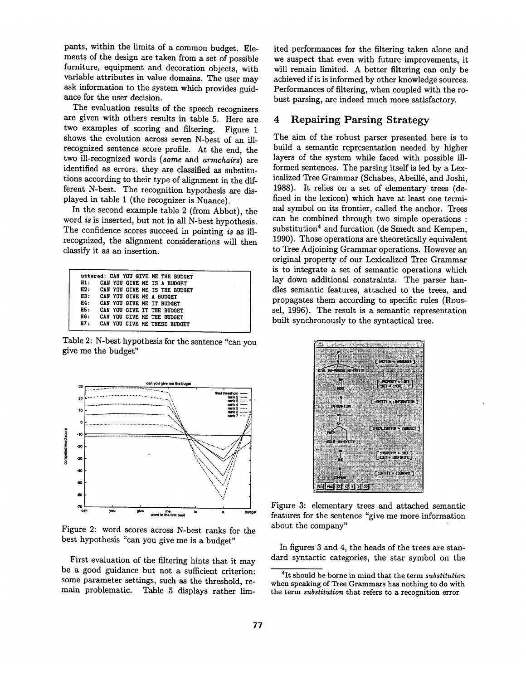pants, within the limits of a common budget. Elements of the design are taken from a set of possible furniture, equipment and decoration objects, with variable attributes in value domains. The user may ask information to the system which provides guidance for the user decision.

The evaluation results of the speech recognizers are given with others results in table 5. Here are two examples of scoring and filtering. Figure 1 shows the evolution across seven N-best of an illrecognized sentence score profile. At the end, the two ill-recognized words *(some and armchairs)* are identified as errors, they are classified as substitutions according to their type of alignment in the different N-best. The recognition hypothesis are displayed in table 1 (the recognizer is Nuance).

In the second example table 2 (from Abbot), the word *is* is inserted, but not in all N-best hypothesis. The confidence scores succeed in pointing *is as* illrecognized, the alignment considerations will then classify it as an insertion.

|                                                                                                                                                                                                                                                                                                                                                                                      | uttered: CAN YOU GIVE ME THE BUDGET |  |
|--------------------------------------------------------------------------------------------------------------------------------------------------------------------------------------------------------------------------------------------------------------------------------------------------------------------------------------------------------------------------------------|-------------------------------------|--|
| H1:                                                                                                                                                                                                                                                                                                                                                                                  | CAN YOU GIVE ME IS A BUDGET         |  |
|                                                                                                                                                                                                                                                                                                                                                                                      | H2: CAN YOU GIVE ME IS THE BUDGET   |  |
| H3:                                                                                                                                                                                                                                                                                                                                                                                  | CAN YOU GIVE ME A BUDGET            |  |
| н4:                                                                                                                                                                                                                                                                                                                                                                                  | CAN YOU GIVE ME IT BUDGET           |  |
| $\overline{H}$ $\overline{S}$ $\overline{S}$ $\overline{S}$ $\overline{S}$ $\overline{S}$ $\overline{S}$ $\overline{S}$ $\overline{S}$ $\overline{S}$ $\overline{S}$ $\overline{S}$ $\overline{S}$ $\overline{S}$ $\overline{S}$ $\overline{S}$ $\overline{S}$ $\overline{S}$ $\overline{S}$ $\overline{S}$ $\overline{S}$ $\overline{S}$ $\overline{S}$ $\overline{S}$ $\overline{$ | CAN YOU GIVE IT THE BUDGET          |  |
| H6 :                                                                                                                                                                                                                                                                                                                                                                                 | CAN YOU GIVE ME THE BUDGET          |  |
| H7:                                                                                                                                                                                                                                                                                                                                                                                  | CAN YOU GIVE ME THESE BUDGET        |  |
|                                                                                                                                                                                                                                                                                                                                                                                      |                                     |  |

Table 2: N-best hypothesis for the sentence "can you give me the budget"



Figure 2: word scores across N-best ranks for the best hypothesis "can you give me is a budget"

First evaluation of the filtering hints that it may be a good guidance but not a sufficient criterion: some parameter settings, such as the threshold, remain problematic. Table 5 displays rather limited performances for the filtering taken alone and we suspect that even with future improvements, it will remain limited. A better filtering can only be achieved if it is informed by other knowledge sources. Performances of filtering, when coupled with the robust parsing, are indeed much more satisfactory.

# 4 Repairing Parsing Strategy

The aim of the robust parser presented here is to build a semantic representation needed by higher layers of the system while faced with possible illformed sentences. The parsing itself is led by a Lexicalized Tree Grammar (Schabes, Abeillé, and Joshi, 1988). It relies on a set of elementary trees (defined in the lexicon) which have at least one terminal symbol on its frontier, called the anchor. Trees can be combined through two simple operations : substitution<sup>4</sup> and furcation (de Smedt and Kempen, 1990). Those operations are theoretically equivalent to Tree Adjoining Grammar operations. However an original property of our Lexicaiized Tree Grammar is to integrate a set of semantic operations which lay down additional constraints. The parser handles semantic features, attached to the trees, and propagates them according to specific rules (Roussel, 1996). The result is a semantic representation built synchronously to the syntactical tree.



Figure 3: elementary trees and attached semantic features for the sentence "give me more information about the company"

In figures 3 and 4, the heads of the trees are standard syntactic categories, the star symbol on the

<sup>4</sup>It should be borne in mind that the term *substitution*  when speaking of Tree Grammars has nothing to do with the term *substitution* that refers to a recognition error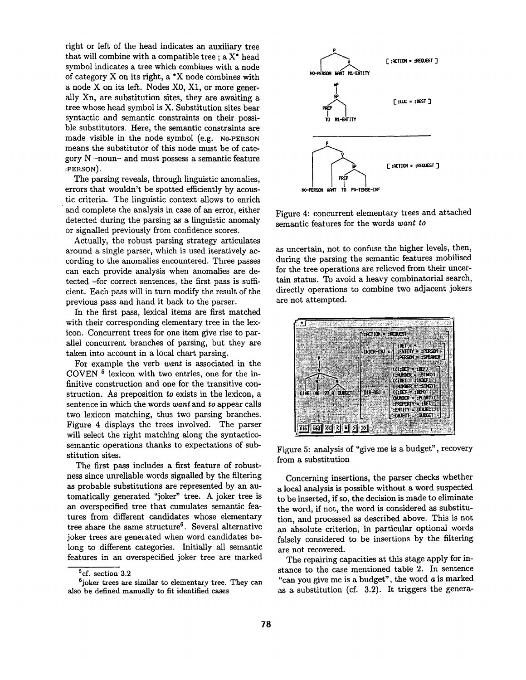right or left of the head indicates an auxiliary tree that will combine with a compatible tree ; a X\* head symbol indicates a tree which combines with a node of category X on its right, a \*X node combines with a node X on its left. Nodes X0, X1, or more generally Xn, are substitution sites, they are awaiting a tree whose head symbol is X. Substitution sites bear syntactic and semantic constraints on their possible substitutors. Here, the semantic constraints are made visible in the node symbol (e.g. N0-PERSON means the substitutor of this node must be of category  $N$  -noun- and must possess a semantic feature :PERSON).

The parsing reveals, through linguistic anomalies, errors that wouldn't be spotted efficiently by acoustic criteria. The linguistic context allows to enrich and complete the analysis in case of an error, either detected during the parsing as a linguistic anomaly or signalled previously from confidence scores.

Actually, the robust parsing strategy articulates around a single parser, which is used iteratively according to the anomalies encountered. Three passes can each provide analysis when anomalies are detected -for correct sentences, the first pass is sufficient. Each pass will in turn modify the result of the previous pass and hand it back to the parser.

In the first pass, lexical items are first matched with their corresponding elementary tree in the lexicon. Concurrent trees for one item give rise to parallel concurrent branches of parsing, but they are taken into account in a local chart parsing.

For example the verb *want* is associated in the COVEN  $5$  lexicon with two entries, one for the infinitive construction and one for the transitive construction. As preposition *to* exists in the lexicon, a sentence in which the words *want* and *to* appear calls two lexicon matching, thus two parsing branches. Figure 4 displays the trees involved. The parser will select the right matching along the syntacticosemantic operations thanks to expectations of substitution sites.

The first pass includes a first feature of robustness since unreliable words signalled by the filtering as probable substitutions are represented by an automatically generated "joker" tree. A joker tree is an overspecified tree that cumulates semantic features from different candidates whose elementary tree share the same structure<sup>6</sup>. Several alternative joker trees are generated when word candidates belong to different categories. Initially all semantic features in an overspecified joker tree are marked



Figure 4: concurrent elementary trees and attached semantic features for the words *want to* 

as uncertain, not to confuse the higher levels, then, during the parsing the semantic features mobilised for the tree operations are relieved from their uncertain status. To avoid a heavy combinatorial search, directly operations to combine two adjacent jokers are not attempted.



Figure 5: analysis of "give me is a budget", recovery from a substitution

Concerning insertions, the parser checks whether a local analysis is possible without a word suspected to be inserted, if so, the decision is made to eliminate the word, if not, the word is considered as substitution, and processed as described above. This is not an absolute criterion, in particular optional words falsely considered to be insertions by the filtering are not recovered.

The repairing capacities at this stage apply for instance to the case mentioned table 2. In sentence "can you give me is a budget", the word a is marked as a substitution (cf. 3.2). It triggers the genera-

<sup>5</sup>cf. section 3.2

 $6$ joker trees are similar to elementary tree. They can also be defined manually to fit identified cases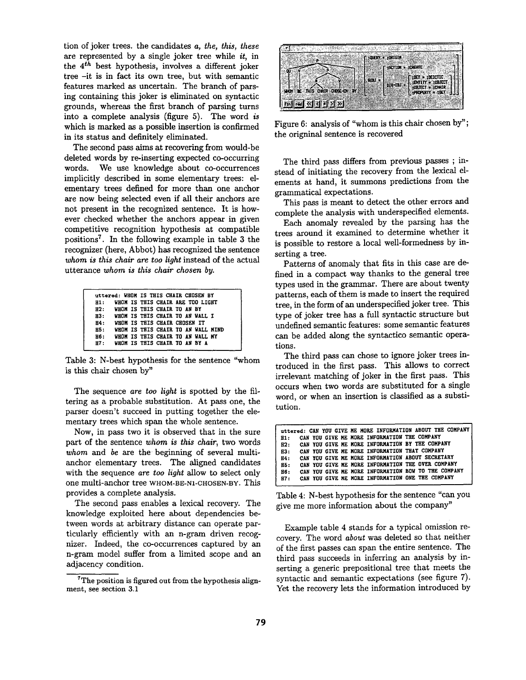tion of joker trees, the candidates *a, the, this, these*  are represented by a single joker tree while *it,* in the  $4<sup>th</sup>$  best hypothesis, involves a different joker tree -it is in fact its own tree, but with semantic features marked as uncertain. The branch of parsing containing this joker is eliminated on syntactic grounds, whereas the first branch of parsing turns into a complete analysis (figure 5). The word *is*  which is marked as a possible insertion is confirmed in its status and definitely eliminated.

The second pass aims at recovering from would-be deleted words by re-inserting expected co-occurring words. We use knowledge about co-occurrences implicitly described in some elementary trees: elementary trees defined for more than one anchor are now being selected even if all their anchors are not present in the recognized sentence. It is however checked whether the anchors appear in given competitive recognition hypothesis at compatible positions<sup>7</sup>. In the following example in table 3 the recognizer (here, Abbot) has recognized the sentence *whom is this chair are too light* instead of the actual utterance *whom is this chair chosen by.* 

|     |  |                             | uttered: WHOM IS THIS CHAIR CHOSEN BY |  |
|-----|--|-----------------------------|---------------------------------------|--|
| H1: |  |                             | WHOM IS THIS CHAIR ARE TOO LIGHT      |  |
| H2: |  | WHOM IS THIS CHAIR TO AN BY |                                       |  |
| H3: |  |                             | WHOM IS THIS CHAIR TO AN WALL I       |  |
| H4: |  |                             | WHOM IS THIS CHAIR CHOSEN IT          |  |
| H5: |  |                             | WHOM IS THIS CHAIR TO AN WALL MIND    |  |
| H6: |  |                             | WHOM IS THIS CHAIR TO AN WALL MY      |  |
| H7: |  |                             | WHOM IS THIS CHAIR TO AN BY A         |  |

Table 3: N-best hypothesis for the sentence "whom is this chair chosen by"

The sequence *are too light* is spotted by the filtering as a probable substitution. At pass one, the parser doesn't succeed in putting together the elementary trees which span the whole sentence.

Now, in pass two it is observed that in the sure part of the sentence *whom is this chair,* two words *whom* and *be are* the beginning of several multianchor elementary trees. The aligned candidates with the sequence *are too light* allow to select only one multi-anchor tree WHOM-BE-N1-CHOSEN-BY. This provides a complete analysis.

The second pass enables a lexical recovery. The knowledge exploited here about dependencies between words at arbitrary distance can operate particularly efficiently with an n-gram driven recognizer. Indeed, the co-occurrences captured by an n-gram model suffer from a limited scope and an adjacency condition.



Figure 6: analysis of "whom is this chair chosen by"; the origninal sentence is recovered

The third pass differs from previous passes ; instead of initiating the recovery from the lexical elements at hand, it summons predictions from the grammatical expectations.

This pass is meant to detect the other errors and complete the analysis with underspecified elements.

Each anomaly revealed by the parsing has the trees around it examined to determine whether it is possible to restore a local well-formedness by inserting a tree.

Patterns of anomaly that fits in this case are defined in a compact way thanks to the general tree types used in the grammar. There are about twenty patterns, each of them is made to insert the required tree, in the form of an underspecified joker tree. This type of joker tree has a full syntactic structure but undefined semantic features: some semantic features can be added along the syntactico semantic operations.

The third pass can chose to ignore joker trees introduced in the first pass. This allows to correct irrelevant matching of joker in the first pass. This occurs when two words are substituted for a single word, or when an insertion is classified as a substitution.

|     |  | uttered: CAN YOU GIVE ME MORE INFORMATION ABOUT THE COMPANY |
|-----|--|-------------------------------------------------------------|
| H1: |  | CAN YOU GIVE ME MORE INFORMATION THE COMPANY                |
| B2: |  | CAN YOU GIVE ME MORE INFORMATION BY THE COMPANY             |
| H3: |  | CAN YOU GIVE ME MORE INFORMATION THAT COMPANY               |
| H4: |  | CAN YOU GIVE ME MORE INFORMATION ABOUT SECRETARY            |
| H5: |  | CAN YOU GIVE HE MORE INFORMATION THE OVER COMPANY           |
| H6: |  | CAN YOU GIVE ME MORE INFORMATION BOW TO THE COMPANY         |
| H7: |  | CAN YOU GIVE ME MORE INFORMATION ONE THE COMPANY            |

Table 4: N-best hypothesis for the sentence "can you give me more information about the company"

Example table 4 stands for a typical omission recovery. The word *about* was deleted so that neither of the first passes can span the entire sentence. The third pass succeeds in inferring an analysis by inserting a generic prepositional tree that meets the syntactic and semantic expectations (see figure 7). Yet the recovery lets the information introduced by

 $7$ The position is figured out from the hypothesis alignment, see section 3.1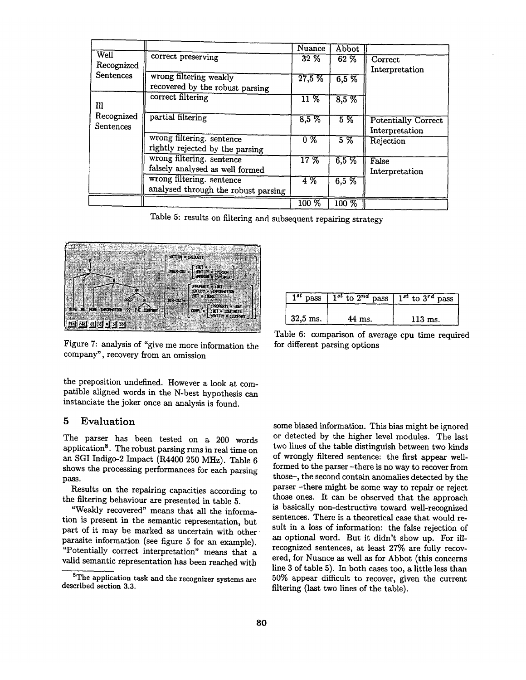|                  |                                     | Nuance             | Abbot   |                            |
|------------------|-------------------------------------|--------------------|---------|----------------------------|
| Well             | correct preserving                  | $32\%$             | 62 %    | Correct                    |
| Recognized       |                                     |                    |         |                            |
| <b>Sentences</b> |                                     |                    |         | Interpretation             |
|                  | wrong filtering weakly              | 27,5%              | 6,5%    |                            |
|                  | recovered by the robust parsing     |                    |         |                            |
|                  | correct filtering                   | $\overline{11~\%}$ | 8,5%    |                            |
| Ill              |                                     |                    |         |                            |
| Recognized       | partial filtering                   |                    |         |                            |
|                  |                                     | 8,5%               | $5\%$   | <b>Potentially Correct</b> |
| <b>Sentences</b> |                                     |                    |         | Interpretation             |
|                  | wrong filtering. sentence           | $0\%$              | $5\,\%$ | Rejection                  |
|                  | rightly rejected by the parsing     |                    |         |                            |
|                  | wrong filtering. sentence           | 17%                | 6,5%    | False                      |
|                  | falsely analysed as well formed     |                    |         | Interpretation             |
|                  | wrong filtering. sentence           | 4%                 | 6,5%    |                            |
|                  | analysed through the robust parsing |                    |         |                            |
|                  |                                     | $100\%$            | $100\%$ |                            |

Table 5: results on filtering and subsequent repairing strategy



Figure 7: analysis of "give me more information the company", recovery from an omission

the preposition undefined. However a look at compatible aligned words in the N-best hypothesis can instanciate the joker once an analysis is found.

## **5 Evaluation**

The parser has been tested on a 200 words application<sup>8</sup>. The robust parsing runs in real time on an SGI Indigo-2 Impact (R4400 250 MHz). Table 6 shows the processing performances for each parsing pass.

Results on the repairing capacities according to the filtering behaviour are presented in table 5.

"Weakly recovered" means that all the information is present in the semantic representation, but part of it may be marked as uncertain with other parasite information (see figure 5 for an example). "Potentially correct interpretation" means that a valid semantic representation has been reached with

| $1^{st}$ pass | $1^{st}$ to $2^{nd}$ pass $1^{st}$ to $3^{rd}$ pass |           |
|---------------|-----------------------------------------------------|-----------|
| $32,5$ ms.    | 44 ms.                                              | $113$ ms. |

Table 6: comparison of average cpu time required for different parsing options

some biased information. This bias might be ignored or detected by the higher level modules. The last two lines of the table distinguish between two kinds of wrongly filtered sentence: the first appear wellformed to the parser -there is no way to recover from those-, the second contain anomalies detected by the parser -there might be some way to repair or reject those ones. It can be observed that the approach is basically non-destructive toward well-recognized sentences. There is a theoretical case that would result in a loss of information: the false rejection of an optional word. But it didn't show up. For illrecognized sentences, at least 27% are fully recovered, for Nuance as well as for Abbot (this concerns line 3 of table 5). In both cases too, a little less than 50% appear difficult to recover, given the current filtering (last two lines of the table).

<sup>&</sup>lt;sup>8</sup>The application task and the recognizer systems are described section 3.3.